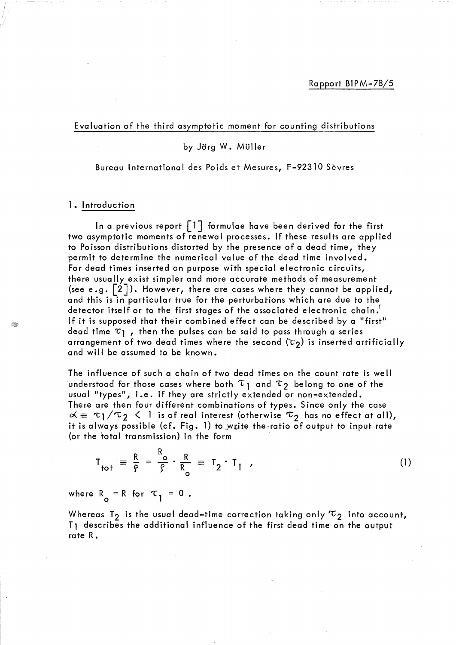Evaluation of the third asymptotic moment for counting distributions

## by Jörg W. Müller

Bureau International des Poids et Mesures, F-92310 Sèvres

## 1. Introduction

In a previous report  $\lceil \cdot \rceil$  formulae have been derived for the first two asymptotic moments of renewal processes. If these results are applied to Poisson distributions distorted by the presence of a dead time, they permit to determine the numerical value of the dead time involved. For dead times inserted on purpose with special electronic circuits, there usually exist simpler and more accurate methods of measurement (see e.g.  $\lceil 2 \rceil$ ). However, there are cases where they cannot be applied, and this is in particular true for the perturbations which are due to the detector itself or to the first stages of the associated electronic chain. If it is supposed that their combined effect can be described by a "first" dead time  $\tau_1$ , then the pulses can be said to pass through a series arrangement of two dead times where the second  $(\tau_2)$  is inserted artificially and will be assumed to be known.

The influence of such a chain of two dead times on the count rate is well understood for those cases where both  $\tau_1$  and  $\tau_2$  belong to one of the usual "types", i.e. if they are strictly extended or non-extended. There are then four different combinations of types. Since only the case  $\alpha \equiv \tau_1/\tau_2 \leq 1$  is of real interest (otherwise  $\tau_2$  has no effect at all), it is always possible (cf. Fig. 1) to write the ratio of output to input rate (or the total transmission) in the form

$$
T_{\text{tot}} = \frac{R}{P} = \frac{R_o}{S} \cdot \frac{R}{R_o} = T_2 \cdot T_1 \tag{1}
$$

where  $R_{0}$  = R for  $\tau_{1}$  = 0.

Whereas T<sub>2</sub> is the usual dead-time correction taking only  $\tau_2$  into account, T<sub>1</sub> describes the additional influence of the first dead time on the output rate R.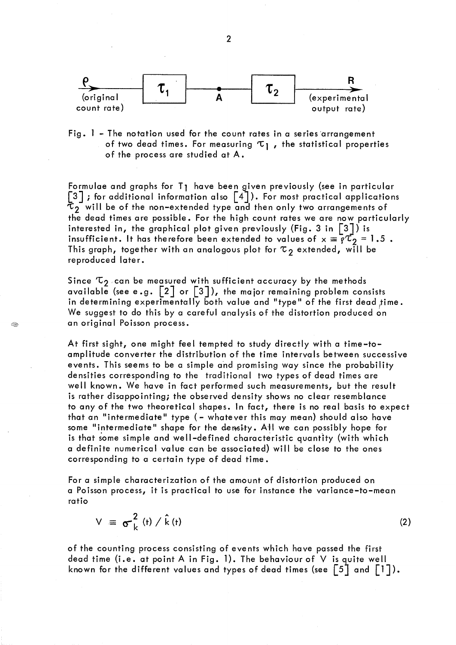

Fig. 1 - The notation used for the count rates in a series 'arrangement of two dead times. For measuring  $\tau_1$ , the statistical properties of the process are studied at A.

Formulae and graphs for T1 have been given previously (see in particular  $\begin{bmatrix} 3 \end{bmatrix}$ ; for additional information also  $\begin{bmatrix} 4 \end{bmatrix}$ ). For most practical applications to will be of the non-extended type and then only two arrangements of the dead times are possible. For the high count rates we are now particularly interested in, the graphical plot given previously (Fig. 3 in  $\lceil 3 \rceil$ ) is insufficient. It has therefore been extended to values of  $x \equiv \overline{q'C_2} = 1.5$ . This graph, together with an analogous plot for  $\tau$ <sub>2</sub> extended, will be reproduced later.

Since  $\tau_2$  can be measured with sufficient accuracy by the methods available (see e.g.  $\begin{bmatrix} 2 \end{bmatrix}$  or  $\begin{bmatrix} 3 \end{bmatrix}$ ), the major remaining problem consists in determining experimentally both value and "type" of the first dead time. We suggest to do this by a careful analysis of the distortion produced on an original Poisson process.

Œ.

At first sight, one might feel tempted to study directly with a time-toamplitude converter the distribution of the time intervals between successive events. This seems to be a simple and promising way since the probability densities corresponding to the traditional two types of dead times are well known. We have in fact performed such measurements, but the result is rather disappointing; the observed density shows no clear resemblance to any of the two theoretical shapes. In fact, there is no real basis to expect that an "intermediate" type (- whatever this may mean) should also have some "intermediate" shape for the density. AH we can possibly hope for is that some simple and well-defined characteristic quantity (with which a definite numerical value can be associated) will be close to the ones corresponding to a certain type of dead time.

For a simple characterization of the amount of distortion produced on a Poisson process, it is practical to use for instance the variance-to-mean ratio

 $V = \sigma_k^2$  (t) / k (t) (2)

of the counting process consisting of events which have passed the first dead time (i.e. at point A in Fig. 1). The behaviour of V is quite well known for the different values and types of dead times (see  $\lceil 5 \rceil$  and  $\lceil 1 \rceil$ ).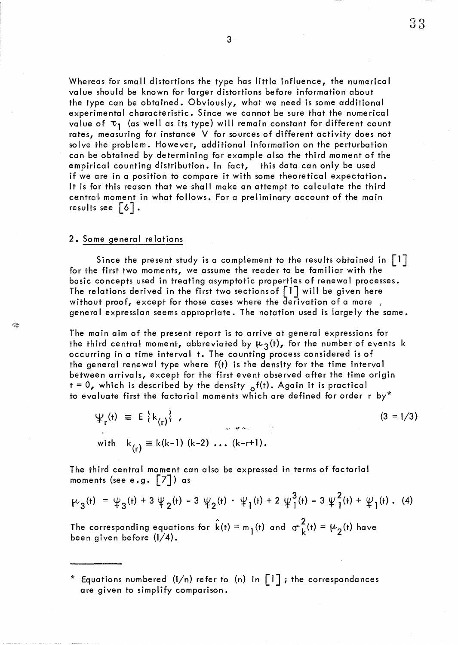Whereas for small distortions the type has little influence, the numerical value should be known for larger distortions before information about the type can be obtained. Obviously, what we need is some additional experimental characteristic. Since we cannot be sure that the numerical value of  $\tau_1$  (as well as its type) will remain constant for different count rates, measuring for instance V for sources of different activity does not solve the problem. However, additional information on the perturbation can be obtained by determining for example also the third moment of the empirical counting distribution. In fact, this data can only be used if we are in a position to compare it with some theoretical expectation. It is for this reason that we shall make an attempt to calculate the third central moment in what follows. For a preliminary account of the main results see  $6$ .

#### 2. Some general relations

Í.

Since the present study is a complement to the results obtained in  $\lceil 1 \rceil$ for the first two moments, we assume the reader to be familiar with the basic concepts used in treating asymptotic properties of renewal processes. The relations derived in the first two sections of  $\begin{bmatrix}1\end{bmatrix}$  will be given here without proof, except for those cases where the derivation of a more  $\frac{1}{f}$ general expression seems appropriate. The notation used is largely the same.

The main aim of the present report is to arrive at general expressions for the third central moment, abbreviated by  $\mu_3(t)$ , for the number of events k occurring in a time interval t. The counting process considered is of the general renewal type where f(t) is the density for the time interval between arrivals, except for the first event observed after the time origin  $t = 0$ , which is described by the density  $\sigma^{f(t)}$ . Again it is practical to evaluate first the factorial moments which are defined for order r by\*

 $\Psi_r(t) = E\{k_{(r)}\},$  $(3 = 1/3)$  $\omega = \frac{\partial \phi}{\partial t}$  ,  $\sigma_{\theta}$  ,  $\omega$ with  $k_{(r)} \equiv k(k-1) (k-2) ... (k-r+1)$ .

The third central moment can also be expressed in terms of factorial moments (see e.g.  $\lceil 7 \rceil$ ) as

$$
\mu_3(\mathsf{t}) = \psi_3(\mathsf{t}) + 3 \psi_2(\mathsf{t}) - 3 \psi_2(\mathsf{t}) \cdot \psi_1(\mathsf{t}) + 2 \psi_1^3(\mathsf{t}) - 3 \psi_1^2(\mathsf{t}) + \psi_1(\mathsf{t}) \,. \tag{4}
$$

The corresponding equations for  $\hat{k}(t) = m_1(t)$  and  $\sigma_L^2(t) = \mu_2(t)$  have been given before (I/4).

<sup>\*</sup> Equations numbered (I/n) refer to (n) in [1 J *i* the correspondances are given to simplify comparison.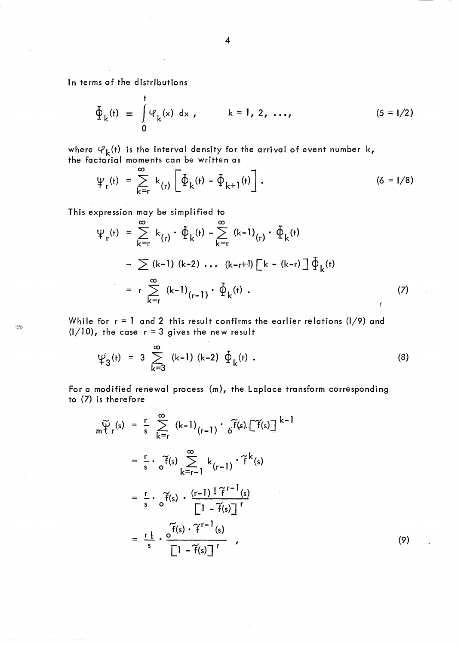In terms of the distributions

$$
\Phi_{k}(t) \equiv \int_{0}^{t} \Psi_{k}(x) dx, \qquad k = 1, 2, ..., \qquad (5 = 1/2)
$$

where  $\varphi_{\mathbf{k}}(\mathfrak{t})$  is the interval density for the arrival of event number k, the factorial moments can be written as

$$
\Psi_{r}(t) = \sum_{k=r}^{\infty} k_{(r)} \left[ \Phi_{k}(t) - \Phi_{k+1}(t) \right]. \qquad (6 = 1/8)
$$

This expression may be simplified to

$$
\Psi_{r}(t) = \sum_{k=r}^{\infty} k_{(r)} \cdot \Phi_{k}(t) - \sum_{k=r}^{\infty} (k-1)_{(r)} \cdot \Phi_{k}(t)
$$

$$
= \sum (k-1) (k-2) \dots (k-r+1) \left[ k - (k-r) \right] \Phi_{k}(t)
$$

$$
= r \sum_{k=r}^{\infty} (k-1)_{(r-1)} \cdot \Phi_{k}(t) . \tag{7}
$$

While for  $r = 1$  and 2 this result confirms the earlier relations (I/9) and  $(1/10)$ , the case  $r = 3$  gives the new result

$$
\psi_3(t) = 3 \sum_{k=3}^{\infty} (k-1) (k-2) \Phi_k(t).
$$
 (8)

For a modified renewal process (m), the Laplace transform corresponding to (7) is therefore

$$
\widetilde{\psi}_{r}(s) = \frac{r}{s} \sum_{k=r}^{\infty} (k-1)_{(r-1)} \cdot \widetilde{\delta}^{f}(s) \cdot [\widetilde{f}(s)]^{k-1}
$$
\n
$$
= \frac{r}{s} \cdot \widetilde{\delta}^{f}(s) \sum_{k=r-1}^{\infty} k_{(r-1)} \cdot \widetilde{f}^{k}(s)
$$
\n
$$
= \frac{r}{s} \cdot \widetilde{\delta}^{f}(s) \cdot \frac{(r-1)! \widetilde{f}^{r-1}(s)}{[1 - \widetilde{f}(s)]^{r}}
$$
\n
$$
= \frac{r}{s} \cdot \frac{\widetilde{\delta}^{f}(s) \cdot \widetilde{f}^{r-1}(s)}{[1 - \widetilde{f}(s)]^{r}}
$$
\n(9)

R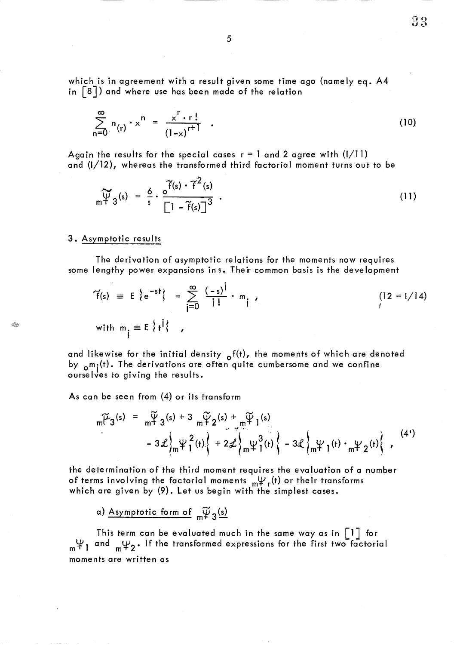which is in agreement with a result given some time ago (namely eq. A4 in  $\lceil 8 \rceil$ ) and where use has been made of the relation

$$
\sum_{n=0}^{\infty} n_{(r)} \cdot x^n = \frac{x^r \cdot r!}{(1-x)^{r+1}} \quad . \tag{10}
$$

 $33$ 

Again the results for the special cases  $r = 1$  and 2 agree with (I/11) and (1/12), whereas the transformed third factorial moment turns out to be

$$
\widetilde{\Psi}_{3}(s) = \frac{6}{s} \cdot \frac{6^{\widetilde{f}(s)} \cdot \widetilde{f}^{2}(s)}{\left[1 - \widetilde{f}(s)\right]^{3}} \tag{11}
$$

## 3. Asymptotic resu Its

The derivation of asymptotic relations for the moments now requires some lengthy power expansions in s. Their common basis is the development

$$
\widetilde{f}(s) = E \left\{ e^{-st} \right\} = \sum_{j=0}^{\infty} \frac{(-s)^j}{j!} \cdot m_j,
$$
\n(12 = 1/14)

\nwith  $m_j \equiv E \left\{ t^j \right\}$ ,

and likewise for the initial density  $\delta^{f(t)}$ , the moments of which are denoted by  $_{o}m_{j}(t)$ . The derivations are often quite cumbersome and we confine ourselves to giving the results.

As can be seen from (4) or its transform

$$
m[t3(s) = m2 (s) + 3 m2 (s) + m2 (s) + m2 (s) + 2m2 (s) + 2m2 (s) + 2m2 (s) + 2m2 (s) + 2m2 (s) + 2m2 (s) + 2m2 (s) + 2m2 (s) + 2m2 (s) + 2m2 (s) + 2m2 (s) + 2m2 (s) + 2m2 (s) + 2m2 (s) + 2m2 (s) + 2m2 (s) + 2m2 (s) + 2m2 (s) + 2m2 (s) + 2m2 (s) + 2m2 (s) + 2m2 (s) + 2m2 (s) + 2m2 (s) + 2m2 (s) + 2m2 (s) + 2m2 (s) + 2m2 (s) + 2m2 (s) + 2m2 (s) + 2m2 (s) + 2m2 (s) + 2m2 (s) + 2m2 (s) + 2m2 (s) + 2m2 (s) + 2m2 (s) + 2m2 (s) + 2m2 (s) + 2m2 (s) + 2m2 (s) + 2m2 (s) + 2m2 (s) + 2m2 (s) + 2m2 (s) + 2m2 (s) + 2m2 (s) + 2m2 (s) + 2m2 (s) + 2m2 (
$$

the determination of the third moment requires the evaluation of a number of terms involving the factorial moments  $\psi_r(t)$  or their transforms which are given by (9). Let us begin with the simplest cases.

a) Asymptotic form of  $\widetilde{\psi}_3$ (s)

This term can be evaluated much in the same way as in  $\lceil 1 \rceil$  for  $m^{\psi}$  and  $m^{\psi}2$ . If the transformed expressions for the first two factorial moments are written as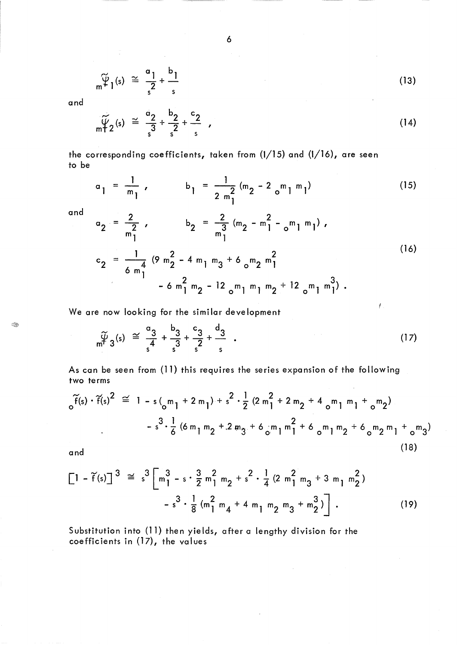$$
\widetilde{\Psi}_{l}(s) \cong \frac{a_{l}}{s^{2}} + \frac{b_{l}}{s}
$$
 (13)

and

 $\mathbb{C}$ 

$$
\widetilde{\psi}_2(s) \cong \frac{a_2}{s^3} + \frac{b_2}{s^2} + \frac{c_2}{s} \qquad (14)
$$

the corresponding coefficients, taken from (1/15) and (1/16), are seen to be

$$
a_1 = \frac{1}{m_1}
$$
,  $b_1 = \frac{1}{2m_1^2} (m_2 - 2 \text{ m}_1 m_1)$  (15)

Œ,

and  
\n
$$
a_{2} = \frac{2}{m_{1}^{2}} , \qquad b_{2} = \frac{2}{m_{1}^{3}} (m_{2} - m_{1}^{2} - m_{1} m_{1}) ,
$$
\n
$$
c_{2} = \frac{1}{6 m_{1}^{4}} (9 m_{2}^{2} - 4 m_{1} m_{3} + 6 m_{2} m_{1}^{2} - 12 m_{1} m_{1} m_{2} + 12 m_{1} m_{1}^{3}) .
$$
\n(16)

We are now looking for the similar development

$$
\widetilde{\psi}_{3}(s) \cong \frac{a_{3}}{s^{4}} + \frac{b_{3}}{s^{3}} + \frac{c_{3}}{s^{2}} + \frac{d_{3}}{s} \quad . \tag{17}
$$

 $\mathcal I$  .

As can be seen from (11) this requires the series expansion of the following two terms

$$
\widetilde{f}(s) \cdot \widetilde{f}(s)^{2} \cong 1 - s \left( \binom{m}{0} + 2m_{1} \right) + s^{2} \cdot \frac{1}{2} \left( 2m_{1}^{2} + 2m_{2} + 4m_{1}m_{1} + \binom{m}{2} \right)
$$
  

$$
- s^{3} \cdot \frac{1}{6} \left( 6m_{1}m_{2} + 2m_{3} + 6m_{1}m_{1}^{2} + 6m_{1}m_{2} + 6m_{2}m_{1} + \binom{m}{3} \right)
$$
  
(18)

and

$$
\begin{bmatrix} 1 - \tilde{f}(s) \end{bmatrix}^3 \cong s^3 \begin{bmatrix} 3 & 3 \ m_1^2 - s \cdot \frac{3}{2} m_1^2 m_2 + s^2 \cdot \frac{1}{4} (2 m_1^2 m_3 + 3 m_1 m_2^2) \\ - s^3 \cdot \frac{1}{8} (m_1^2 m_4 + 4 m_1 m_2 m_3 + m_2^3) \end{bmatrix} .
$$
 (19)

Substitution into (11) then yields, after a lengthy division for the coefficients in (17), the values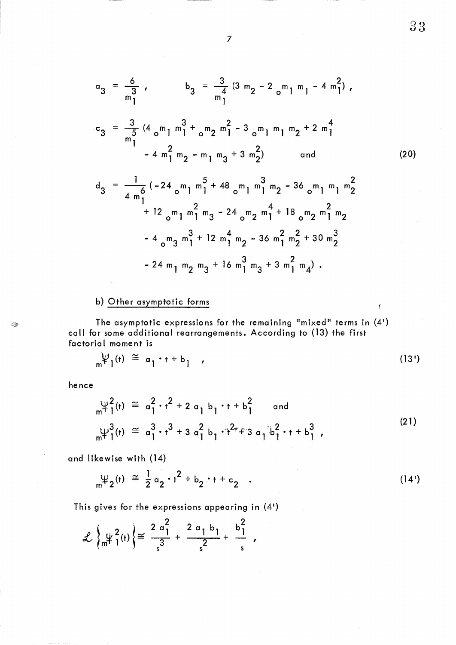$$
a_3 = \frac{6}{m_1}
$$
,  $b_3 = \frac{3}{m_1}$   $(3 m_2 - 2_{0} m_1 m_1 - 4 m_1^2)$ ,

$$
c_3 = \frac{3}{m_1^5} (4_0 m_1 m_1^3 + 6_2 m_2 m_1^2 - 3_0 m_1 m_1 m_2 + 2 m_1^4 - 4 m_1^2 m_2 - m_1 m_3 + 3 m_2^2)
$$
 and

$$
d_3 = \frac{1}{4 m_1^6} (-24 m_1 m_1^5 + 48 m_1 m_1^3 m_2 - 36 m_1 m_1 m_2^2 + 12 m_1 m_1^2 m_3 - 24 m_2 m_1^4 + 18 m_2 m_2 m_1^2 m_2 - 4 m_3 m_1^3 + 12 m_1^4 m_2 - 36 m_1^2 m_2^2 + 30 m_2^3 - 24 m_1 m_2 m_3 + 16 m_1^3 m_3 + 3 m_1^2 m_4).
$$

# b) Other asymptotic forms

The asymptotic expressions for the remaining "mixed" terms in  $(4)$ call for some additional rearrangements. According to (13) the first factorial moment is

$$
\psi_1(t) \cong a_1 \cdot t + b_1 \qquad (13')
$$

hence

I.

$$
\psi_1^2(t) \cong a_1^2 \cdot t^2 + 2 a_1 b_1 \cdot t + b_1^2 \quad \text{and} \quad \psi_1^3(t) \cong a_1^3 \cdot t^3 + 3 a_1^2 b_1 \cdot t^2 + 3 a_1 b_1^2 \cdot t + b_1^3 \quad (21)
$$

and likewise with (14)

$$
\psi_2(t) \cong \frac{1}{2} a_2 \cdot t^2 + b_2 \cdot t + c_2 \quad . \tag{14'}
$$

This gives for the expressions appearing in (41)

$$
\mathcal{L}\left\{\psi_1^2(t)\right\} \cong \frac{2\sigma_1^2}{3} + \frac{2\sigma_1 b_1}{2} + \frac{b_1^2}{s} ,
$$

7

33

(20)

Ť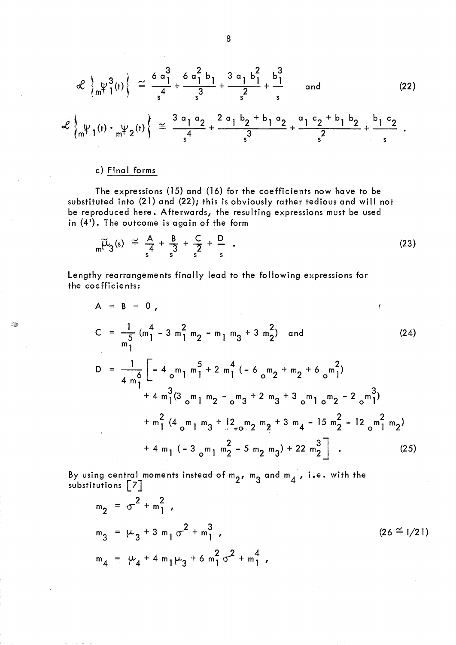$$
\mathcal{L}\left\{\psi^{3}_{m}(\tau)\right\} \cong \frac{6\,\alpha_{1}^{3}}{s^{4}} + \frac{6\,\alpha_{1}^{2}\,b_{1}}{s^{3}} + \frac{3\,\alpha_{1}\,b_{1}^{2}}{s^{2}} + \frac{b_{1}^{3}}{s} \quad \text{and} \quad (22)
$$
\n
$$
\mathcal{L}\left\{\psi_{1}(\tau)\cdot\psi_{2}(\tau)\right\} \cong \frac{3\,\alpha_{1}\,\alpha_{2}}{s^{4}} + \frac{2\,\alpha_{1}\,b_{2} + b_{1}\,\alpha_{2}}{s^{3}} + \frac{a_{1}\,c_{2} + b_{1}\,b_{2}}{s^{2}} + \frac{b_{1}\,c_{2}}{s} \quad .
$$

# c) Final forms

**Sept** 

The expressions (15) and (16) for the coefficients now have to be substituted into (21) and (22); this is obviously rather tedious and will not be reproduced here. Afterwards, the resulting expressions must be used

in (4'). The outcome is again of the form  
\n
$$
\widetilde{\mu}_{3}(s) \cong \frac{A}{s} + \frac{B}{s^{3}} + \frac{C}{s^{2}} + \frac{D}{s}
$$
\n(23)

Lengthy rearrangements finally lead to the following expressions for the coefficients:

$$
A = B = 0,
$$
  
\n
$$
C = \frac{1}{m_1^5} (m_1^4 - 3 m_1^2 m_2 - m_1 m_3 + 3 m_2^2) \text{ and}
$$
  
\n
$$
D = \frac{1}{4 m_1^6} \left[ -4 m_1 m_1^5 + 2 m_1^4 (-6 m_2 + m_2 + 6 m_1^2) + 4 m_1^3 (3 m_1 m_2 - m_3 + 2 m_3 + 3 m_1 m_2 - 2 m_1^3) + m_1^2 (4 m_1 m_3 + 12 m_2 m_2 + 3 m_4 - 15 m_2^2 - 12 m_1^2 m_2) + 4 m_1 (-3 m_1 m_2^2 - 5 m_2 m_3) + 22 m_2^3 \right].
$$
\n(25)

By using central moments instead of  $m_2$ ,  $m_3$  and  $m_4$  , i.e. with the substitutions  $\begin{bmatrix} 7 \end{bmatrix}$ 

$$
m_2 = \sigma^2 + m_1^2,
$$
  
\n
$$
m_3 = \mu_3 + 3 m_1 \sigma^2 + m_1^3,
$$
  
\n
$$
m_4 = \mu_4 + 4 m_1 \mu_3 + 6 m_1^2 \sigma^2 + m_1^4,
$$
\n(26 = 1/21)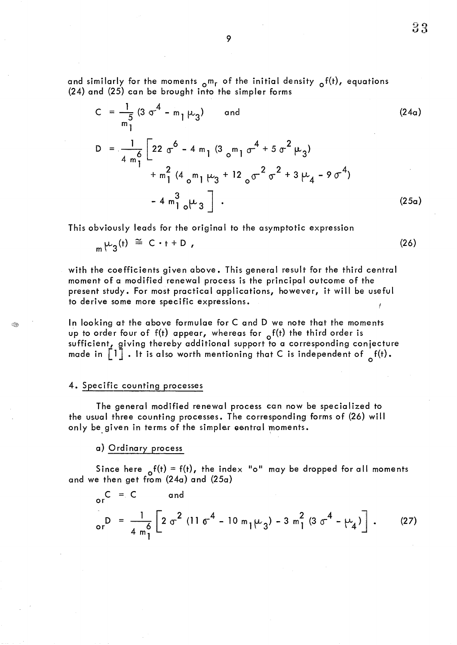and similarly for the moments  $_{\text{o}}$ m<sub>r</sub> of the initial density  $_{\text{o}}$ f(t), equations (24) and (25) can be brought into the simpler forms

$$
C = \frac{1}{m_1^5} (3 \sigma^4 - m_1 \mu_3) \quad \text{and} \tag{24a}
$$
\n
$$
D = \frac{1}{4 m_1^6} \left[ 22 \sigma^6 - 4 m_1 (3 \sigma^2) \sigma^4 + 5 \sigma^2 \mu_3 \right] + m_1^2 (4 \sigma^2) \left[ \mu_3 + 12 \sigma^2 \sigma^2 + 3 \mu_4 - 9 \sigma^4 \right] + m_1^3 \left[ 4 \sigma^2 \sigma^2 \right]. \tag{25a}
$$

This obviously leads for the original to the asymptotic expression

$$
{}_{m}\mu_{3}(t) \cong C \cdot t + D \tag{26}
$$

with the coefficients given above. This general result for the third central moment of a modified renewal process is the principal outcome of the present study. For most practical applications, however, it will be useful to derive some more specific expressions.

In looking at the above formulae for C and D we note that the moments up to order four of  $f(t)$  appear, whereas for  $f(t)$  the third order is sufficient, giving thereby additional support to a corresponding conjecture made in  $\begin{bmatrix} 1 \end{bmatrix}$ . It is also worth mentioning that C is independent of  $\begin{bmatrix} f(t) \end{bmatrix}$ .

## 4. Specific counting processes

The general modified renewal process can now be specialized to the usual three counting processes. The corresponding forms of (26) will only be given in terms of the simpler central moments.

a) Ordinary process

Since here  $_0f(t) = f(t)$ , the index "o" may be dropped for all moments and we then get from (24a) and (25a)

$$
{}_{\text{or}}C = C \qquad \text{and}
$$
\n
$$
{}_{\text{or}}D = \frac{1}{4 \text{ m}^6} \left[ 2 \text{ }\sigma^2 \text{ } (11 \text{ }\sigma^4 - 10 \text{ m}_1 \mu_3) - 3 \text{ m}_1^2 (3 \text{ }\sigma^4 - \mu_4) \right]. \tag{27}
$$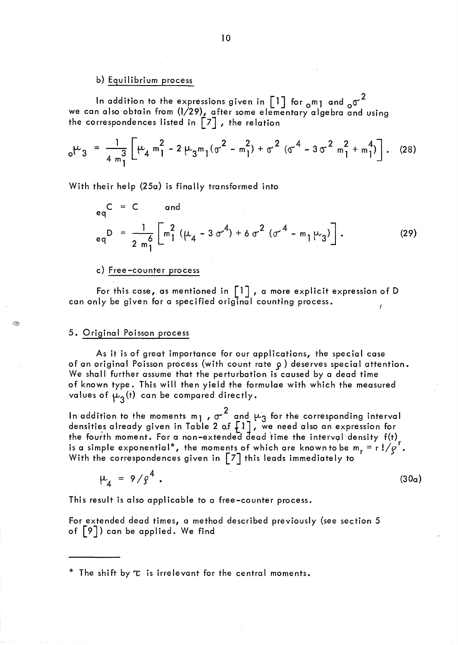## b) Equilibrium process

In addition to the expressions given in  $\left[1\right]$  for  $_{\text{o}}$ m<sub>1</sub> and  $_{\text{o}}\sigma^2$ we can also obtain from (1/29), after some elementary algebra and using the correspondences listed in  $\left[\begin{smallmatrix} 7 \end{smallmatrix}\right]$  , the relation

$$
{}_{0}\mu_{3} = \frac{1}{4 \, \text{m}_{1}^{3}} \left[ \mu_{4} \, \text{m}_{1}^{2} - 2 \, \mu_{3} \, \text{m}_{1} (\sigma^{2} - \text{m}_{1}^{2}) + \sigma^{2} \, (\sigma^{4} - 3 \, \sigma^{2} \, \text{m}_{1}^{2} + \text{m}_{1}^{4}) \right]. \tag{28}
$$

With their help (25a) is finally transformed into

$$
{}_{eq}C = C \quad \text{and} \\ {}_{eq}D = \frac{1}{2 \pi \frac{6}{1}} \left[ \pi_1^2 \left( \mu_4 - 3 \sigma^4 \right) + 6 \sigma^2 \left( \sigma^4 - m_1 \mu_3 \right) \right]. \tag{29}
$$

#### c) Free -counter process

For this case, as mentioned in  $\lceil 1 \rceil$ , a more explicit expression of D can only be given for a specified original counting process.

#### 5. Original Poisson process

As it is of great importance for our applications, the special case of an original Poisson process (with count rate  $\rho$  ) deserves special attention. We shall further assume that the perturbation is caused by a dead time of known type. This will then yield the formulae with which the measured values of  $\mu_{3}(t)$  can be compared directly.

In addition to the moments m<sub>1</sub> ,  $\sigma^2$  and  $\mu_3$  for the corresponding interval densities already given in Table 2 of  $\left\lceil 1 \right\rceil$  , we need also an expression for the fourth moment. For a non-extended dead time the interval density  $f(t)$ is a simple exponential\*, the moments of which are known to be  $m_r = r!/g'.$ With the correspondences given in  $\lceil 7 \rceil$  this leads immediately to

$$
\mu_4 = 9/\rho^4 \ . \tag{30a}
$$

This result is also applicable to a free-counter process.

For extended dead times, a method described previously (see section 5 of [9]) can be applied. We find

\* The shift by  $\tau$  is irrelevant for the central moments.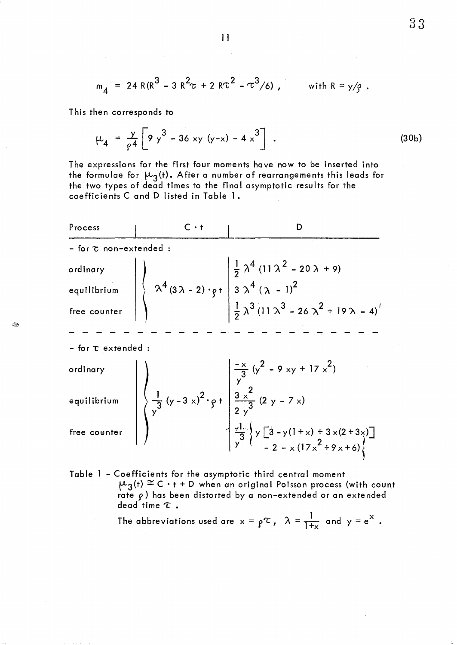$$
m_4 = 24 R(R^3 - 3 R^2 \tau + 2 R \tau^2 - \tau^3/6)
$$
, with  $R = y/g$ .

This then corresponds to

$$
\mu_4 = \frac{y}{f^4} \left[ 9 y^3 - 36 xy (y-x) - 4 x^3 \right] \ . \tag{30b}
$$

The expressions for the first four moments have now to be inserted into the formulae for  $\mu_{3}$ (t). After a number of rearrangements this leads for the two types of dead times to the final asymptotic results for the coefficients C and D listed in Table 1.

Process C • t I D ,~ \_\_\_ ,-L - for 1; non-extended 1. ;:\4 (11 A 2 - <sup>20</sup>A + 9) <sup>2</sup> ordinary equi I ibrium 4 'A (3A-2)·~t *<sup>3</sup>*A 4 ('?t - 1)2 1. /\3 (11 *'A3* \_ 26 .).,2 + 19/\ \_ 4)( <sup>2</sup> free counter - for 't" extended - x 2 2 "3 (y - 9 xy + 17 x ) ordinary y 3 2 equilibrium 1 2 \_x\_ (2 y \_ 7 x) - (y - 3 x) • ~ t 3 . y 2 y3 " ~,t. ~ y [3 - y (1 + x) + 3 x (2 + 3 x) ] free cOl!Jnter 3 ( 2 l y - 2 - x (17x +9x+6)~ 

Table 1 - Coefficients for the asymptotic third central moment  $\mu_3(t) \cong C \cdot t + D$  when an original Poisson process (with count rate  $\rho$ ) has been distorted by a non-extended or an extended dead time  $\tau$  .

The abbreviations used are 
$$
x = p^r
$$
,  $\lambda = \frac{1}{1+x}$  and  $y = e^x$ .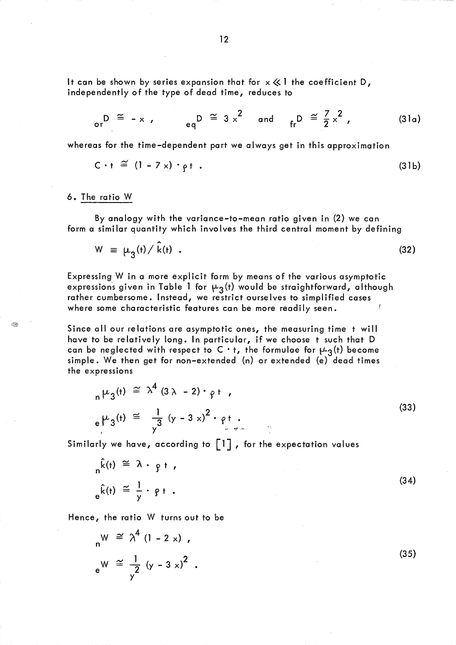It can be shown by series expansion that for  $x \ll 1$  the coefficient D, independently of the type of dead time, reduces to

$$
\begin{array}{ccccccccc}\nD & \cong & - \times & , & & \mathsf{e}_q D & \cong & 3 \times^2 & \mathsf{and} & & \mathsf{f}_r D & \cong & \frac{7}{2} \times^2 & , & & & & (31a)\n\end{array}
$$

whereas for the time-dependent part we always get in this approximation

$$
C \cdot t \cong (1 - 7 \times) \cdot \rho t . \tag{31b}
$$

#### 6. The ratio W

ಿತಿ

By analogy with the variance-to-mean ratio given in (2) we can form a similar quantity which involves the third central moment by defining

$$
W = \mu_3(t) / \hat{k}(t) \tag{32}
$$

Expressing W in a more explicit form by means of the various asymptotic expressions given in Table 1 for  $\mu_3(t)$  would be straightforward, although rather cumbersome. Instead, we restrict ourselves to simplified cases where some characteristic features can be more readily seen.

Since all our relations are asymptotic ones, the measuring time t will have to be relatively long. In particular, if we choose t such that D can be neglected with respect to C · t, the formulae for  $\mu_3(t)$  become simple. We then get for non-extended (n) or extended (e) dead times the expressions

$$
{}_{n}\mu_{3}(t) \cong \lambda^{4} (3\lambda - 2) \cdot \rho t
$$
\n
$$
{}_{e}\mu_{3}(t) \cong \frac{1}{\gamma^{3}} (\gamma - 3 \times)^{2} \cdot \rho t
$$
\n(33)

Similarly we have, according to  $\lceil \cdot \rceil$ , for the expectation values

$$
n^{k(t)} \cong \lambda \cdot p + \ldots
$$
\n
$$
e^{\hat{k}(t)} \cong \frac{1}{y} \cdot p + \ldots
$$
\n(34)

Hence, the ratio W turns out to be

$$
{}_{n}W \cong \lambda^{4} (1 - 2 \times),
$$
  
\n
$$
{}_{e}W \cong \frac{1}{\gamma^{2}} (\gamma - 3 \times)^{2}.
$$
\n(35)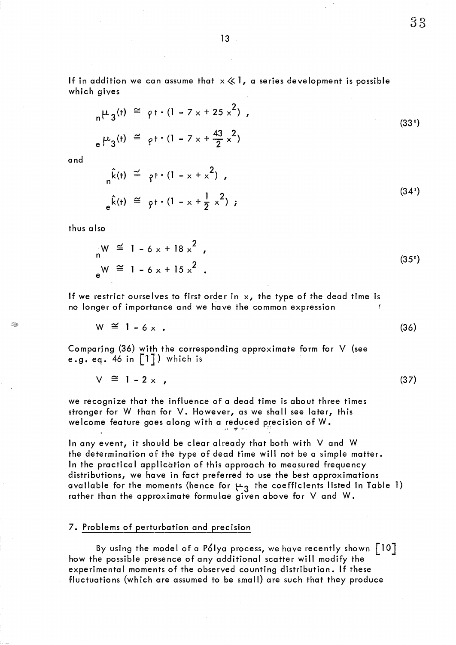If in addition we can assume that  $x \ll 1$ , a series development is possible which gives

$$
\mu_3(t) \cong \rho t \cdot (1 - 7 \times 125 \times^2) ,
$$
  
\n
$$
\mu_3(t) \cong \rho t \cdot (1 - 7 \times 125 \times^2) ,
$$
  
\n(33')

and

$$
n^{\hat{k}(t)} \stackrel{\simeq}{=} \rho t \cdot (1 - x + x^2) ,
$$
  
\n
$$
e^{\hat{k}(t)} \stackrel{\simeq}{=} \rho t \cdot (1 - x + \frac{1}{2} x^2) ;
$$
\n(34')

thus a Iso

Í.

$$
W \stackrel{\simeq}{=} 1 - 6 \times 18 \times 2
$$
  
\n
$$
e^{W} \stackrel{\simeq}{=} 1 - 6 \times 15 \times 2
$$
 (35<sup>1</sup>)

If we restrict ourselves to first order in  $x$ , the type of the dead time is no longer of importance and we have the common expression

$$
W \cong 1 - 6 \times . \tag{36}
$$

Comparing (36) with the corresponding approximate form for V (see e.g. eq. 46 in  $\lceil \cdot \rceil$ ) which is

$$
V \cong 1 - 2 \times , \tag{37}
$$

we recognize that the influence of a dead time is about three times stronger for W than for V. However, as we shall see later, this welcome feature goes along with a reduced precision of W.

In any event, it should be clear already that both with V and W the determination of the type of dead time will not be a simple matter. In the practical application of this approach to measured frequency distributions, we have in fact preferred to use the best approximations available for the moments (hence for  $\mu_3$  the coefficients listed in Table 1) rather than the approximate formulae given above for V and W.

## 7. Problems of perturbation and precision

By using the model of a Pólya process, we have recently shown  $\vert\,$  10  $\vert$ how the possible presence of any additional scatter will modify the experimental moments of the observed counting distribution. If these fluctuations (which are assumed to be small) are such that they produce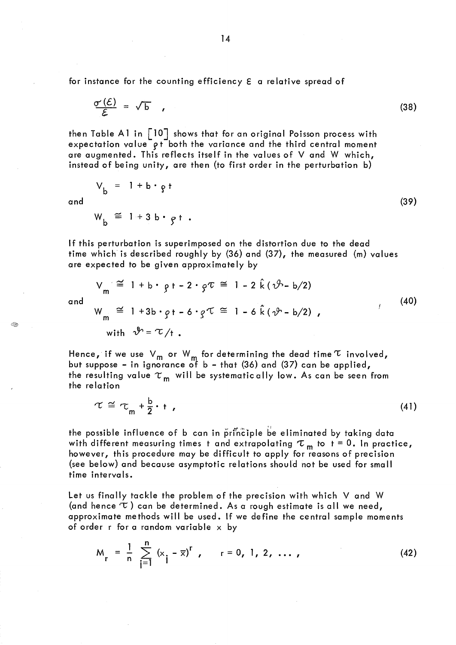for instance for the counting efficiency E a relative spread of

$$
\frac{\sigma'(\mathcal{E})}{\mathcal{E}} = \sqrt{b} \qquad (38)
$$

then Table A1 in  $\lceil 10 \rceil$  shows that for an original Poisson process with expectation value pt both the variance and the third central moment are augmented. This reflects itself in the values of V and W which, instead of being unity, are then (to first order in the perturbation b)

$$
V_b = 1 + b \cdot g t
$$
  
and  

$$
W \cong 1 + 3 b \cdot g t
$$
 (39)

 $W_{\mathbf{b}} = 1 + 3 \mathbf{b} \cdot \mathbf{g}$ t.

If this perturbation is superimposed on the distortion due to the dead time which is described roughly by (36) and (37), the measured (m) values are expected to be given approximate Iy by

$$
V_m \cong 1 + b \cdot g + -2 \cdot g \tau \cong 1 - 2 \hat{k} (\hat{\nu} - b/2)
$$
  
\n
$$
W_m \cong 1 + 3b \cdot g + -6 \cdot g \tau \cong 1 - 6 \hat{k} (\hat{\nu} - b/2),
$$
\n(40)

and

 $\Leftrightarrow$ 

with  $v'' = U/t$ .

Hence, if we use  $\vee_{\mathsf{m}}$  or  $\mathsf{W}_{\mathsf{m}}$  for determining the dead time  $\mathfrak r$  involved, but suppose – in ignorance of  $\mathsf b$  – that (36) and (37) can be applied, the resulting value  $\tau_{\mathsf{m}}$  will be systematically low. As can be seen from the relation

$$
\tau \cong \tau_{m} + \frac{b}{2} + \tag{41}
$$

the possible influence of b can in principle be eliminated by taking data with different measuring times t and extrapolating  $\tau_{m}$  to t = 0. In practice, however, this procedure may be difficult to apply for reasons of precision (see below) and beoause asymptotic relations should not be used for small time intervals.

Let us finally tackle the problem of the precision with which V and W (and hence  $\tau$ ) can be determined. As a rough estimate is all we need, approximate methods will be used. If we define the central sample moments of order r for a random variable  $\times$  by

$$
M_r = \frac{1}{n} \sum_{j=1}^{n} (x_j - \overline{x})^r, \qquad r = 0, 1, 2, ..., \qquad (42)
$$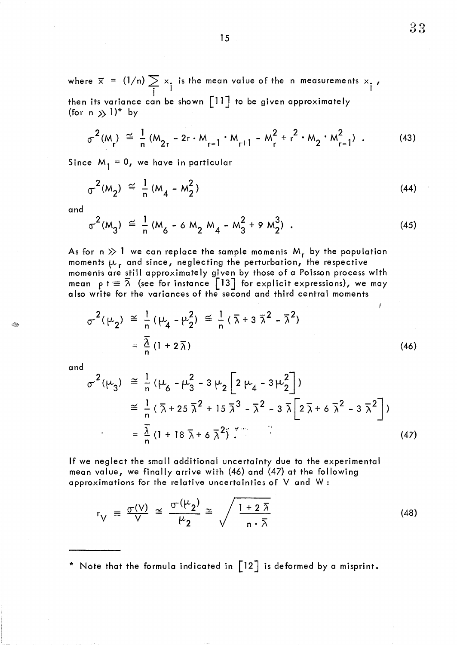where  $\bar{x}$  = (1/n)  $\sum x_i$  is the mean value of the n measurements  $x_i$  ,  $\frac{1}{1}$  I is a set of  $\frac{1}{1}$ then its variance can be shown [11] to be given approximately (for  $n \gg 1$ )\* by

$$
\sigma^{2}(M_{r}) \cong \frac{1}{n} (M_{2r} - 2r \cdot M_{r-1} \cdot M_{r+1} - M_{r}^{2} + r^{2} \cdot M_{2} \cdot M_{r-1}^{2})
$$
 (43)

Since  $M_1 = 0$ , we have in particular

$$
\sigma^{2}(M_{2}) \cong \frac{1}{n} (M_{4} - M_{2}^{2})
$$
 (44)

and

$$
\sigma^{2}(M_{3}) \cong \frac{1}{n} (M_{6} - 6 M_{2} M_{4} - M_{3}^{2} + 9 M_{2}^{3})
$$
 (45)

As for n  $\gg$  1 we can replace the sample moments  $M_r$  by the population moments  $\mu_r$  and since, neglecting the perturbation, the respective moments are still approximately given by those of a Poisson process with mean  $\,\mathsf{p}\,$  t  $\equiv$   $\overline{\lambda}\,$  (see for instance <code>[13]</code> for explicit expressions), we may also write for the variances of the second and third central moments

$$
\sigma^{2}(\mu_{2}) \cong \frac{1}{n} (\mu_{4} - \mu_{2}^{2}) \cong \frac{1}{n} (\bar{\lambda} + 3 \bar{\lambda}^{2} - \bar{\lambda}^{2})
$$
\n
$$
= \frac{\bar{\lambda}}{n} (1 + 2 \bar{\lambda})
$$
\n(46)

and

Œ

$$
\sigma^{2}(\mu_{3}) \cong \frac{1}{n} (\mu_{6} - \mu_{3}^{2} - 3 \mu_{2} \left[ 2 \mu_{4} - 3 \mu_{2}^{2} \right])
$$
  
\n
$$
\cong \frac{1}{n} (\bar{\lambda} + 25 \bar{\lambda}^{2} + 15 \bar{\lambda}^{3} - \bar{\lambda}^{2} - 3 \bar{\lambda} \left[ 2 \bar{\lambda} + 6 \bar{\lambda}^{2} - 3 \bar{\lambda}^{2} \right])
$$
  
\n
$$
= \frac{\bar{\lambda}}{n} (1 + 18 \bar{\lambda} + 6 \bar{\lambda}^{2}) \stackrel{\text{max}}{\sim} \tag{47}
$$

If we neglect the small additional uncertainty due to the experimental mean value, we finally arrive with (46) and (47) at the following approximations for the relative uncertainties of V and W:

$$
r_V = \frac{\sigma(V)}{V} \cong \frac{\sigma(\mu_2)}{\mu_2} \cong \sqrt{\frac{1+2\bar{\lambda}}{n\cdot\bar{\lambda}}}
$$
 (48)

\* Note that the formula indicated in  $\lceil 12 \rceil$  is deformed by a misprint.

15

Ĭ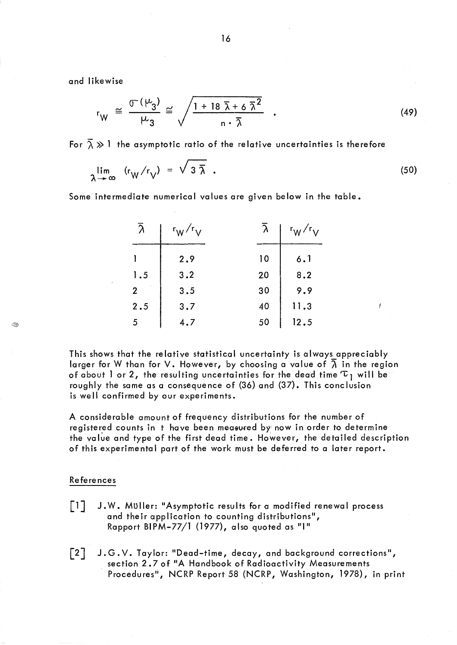and likewise

$$
r_{W} \cong \frac{\sigma(\mu_{3})}{\mu_{3}} \cong \sqrt{\frac{1+18 \bar{\lambda}+6 \bar{\lambda}^{2}}{n \cdot \bar{\lambda}}} \quad . \tag{49}
$$

For  $\overline{\lambda} \gg 1$  the asymptotic ratio of the relative uncertainties is therefore

$$
\lim_{\lambda \to \infty} (r_W/r_V) = \sqrt{3 \bar{\lambda}} \quad . \tag{50}
$$

j

Some intermediate numerical values are given below in the table.

| $\bar{\lambda}$ | $r_W/r_V$ | $\overline{\lambda}$ | $r_W/r_V$ |
|-----------------|-----------|----------------------|-----------|
|                 | 2.9       | 10                   | 6.1       |
| 1.5             | 3.2       | 20                   | 8.2       |
| $\overline{2}$  | 3.5       | 30                   | 9.9       |
| 2.5             | 3.7       | 40                   | 11.3      |
| 5               | 4.7       | 50                   | 12.5      |

This shows that the relative statistical uncertainty is always appreciably larger for W than for V. However, by choosing a value of  $\overline{\lambda}$  in the region of about 1 or 2, the resulting uncertainties for the dead time  $\tau_1$  will be roughly the same as a consequence of (36) and (37). This conclusion is well confirmed by our experiments.

A considerable amount of frequency distributions for the number of registered counts in t have been measured by now in order to determine the value and type of the first dead time. However, the detailed description of this experimental part of the work must be deferred to a later report.

# References

I.

- [lJ J. W. Muller: "Asymptotic results for a modified renewal process and their application to counting distributions", Rapport BIPM-77/1 (1977), also quoted as "1"
- J.G.Y. Taylor: "Dead-time, decay, and background corrections",  $\lceil 2 \rceil$ section 2.7 of "A Handbook of Radioactivity Measurements Procedures", NCRP Report 58 (NCRP, Washington, 1978), in print